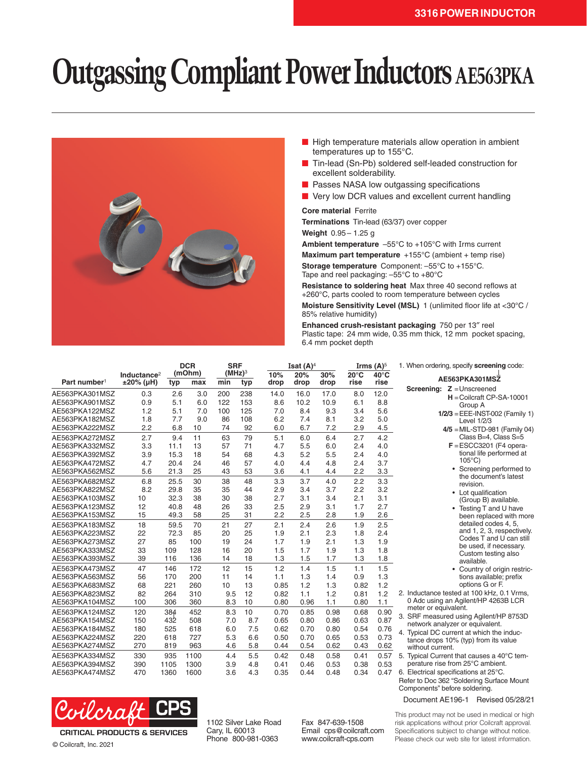## **Outgassing Compliant Power Inductors AE563PKA**



- High temperature materials allow operation in ambient temperatures up to 155°C.
- Tin-lead (Sn-Pb) soldered self-leaded construction for excellent solderability.
- Passes NASA low outgassing specifications
- Very low DCR values and excellent current handling

## **Core material** Ferrite

**Terminations** Tin-lead (63/37) over copper

**Weight** 0.95– 1.25 g

**Ambient temperature** –55°C to +105°C with Irms current

**Maximum part temperature** +155°C (ambient + temp rise)

**Storage temperature** Component: –55°C to +155°C. Tape and reel packaging: –55°C to +80°C

**Resistance to soldering heat** Max three 40 second reflows at +260°C, parts cooled to room temperature between cycles **Moisture Sensitivity Level (MSL)** 1 (unlimited floor life at <30°C / 85% relative humidity)

**Enhanced crush-resistant packaging** 750 per 13″ reel Plastic tape: 24 mm wide, 0.35 mm thick, 12 mm pocket spacing, 6.4 mm pocket depth

|                          | Inductance <sup>2</sup> |      | <b>DCR</b><br>(mOhm) |     | <b>SRF</b><br>(MHz) <sup>3</sup> |      | Isat $(A)^4$<br>10%<br>20%<br>30% |      |                        | Irms $(A)^5$<br>$40^{\circ}$ C | 1. When ordering, specify screening code:                                 |
|--------------------------|-------------------------|------|----------------------|-----|----------------------------------|------|-----------------------------------|------|------------------------|--------------------------------|---------------------------------------------------------------------------|
| Part number <sup>1</sup> | $±20\%$ (µH)            | typ  | max                  | min | typ                              | drop | drop                              | drop | $20^{\circ}$ C<br>rise | rise                           | AE563PKA301MSZ                                                            |
| AE563PKA301MSZ           | 0.3                     | 2.6  | 3.0                  | 200 | 238                              | 14.0 | 16.0                              | 17.0 | 8.0                    | 12.0                           | <b>Screening: Z</b> = Unscreened<br>$H =$ Coilcraft CP-SA-10001           |
| AE563PKA901MSZ           | 0.9                     | 5.1  | 6.0                  | 122 | 153                              | 8.6  | 10.2                              | 10.9 | 6.1                    | 8.8                            | Group A                                                                   |
| AE563PKA122MSZ           | 1.2                     | 5.1  | 7.0                  | 100 | 125                              | 7.0  | 8.4                               | 9.3  | 3.4                    | 5.6                            | $1/2/3 = EEE$ -INST-002 (Family 1)                                        |
| AE563PKA182MSZ           | 1.8                     | 7.7  | 9.0                  | 86  | 108                              | 6.2  | 7.4                               | 8.1  | 3.2                    | 5.0                            | Level 1/2/3                                                               |
| AE563PKA222MSZ           | 2.2                     | 6.8  | 10                   | 74  | 92                               | 6.0  | 6.7                               | 7.2  | 2.9                    | 4.5                            | $4/5$ = MIL-STD-981 (Family 04)                                           |
| AE563PKA272MSZ           | 2.7                     | 9.4  | 11                   | 63  | 79                               | 5.1  | 6.0                               | 6.4  | 2.7                    | 4.2                            | Class B=4, Class S=5                                                      |
| AE563PKA332MSZ           | 3.3                     | 11.1 | 13                   | 57  | 71                               | 4.7  | 5.5                               | 6.0  | 2.4                    | 4.0                            | $F = ESCC3201$ (F4 opera-                                                 |
| AE563PKA392MSZ           | 3.9                     | 15.3 | 18                   | 54  | 68                               | 4.3  | 5.2                               | 5.5  | 2.4                    | 4.0                            | tional life performed at                                                  |
| AE563PKA472MSZ           | 4.7                     | 20.4 | 24                   | 46  | 57                               | 4.0  | 4.4                               | 4.8  | 2.4                    | 3.7                            | $105^{\circ}$ C)                                                          |
| AE563PKA562MSZ           | 5.6                     | 21.3 | 25                   | 43  | 53                               | 3.6  | 4.1                               | 4.4  | 2.2                    | 3.3                            | Screening performed to<br>the document's latest                           |
| AE563PKA682MSZ           | 6.8                     | 25.5 | 30                   | 38  | 48                               | 3.3  | 3.7                               | 4.0  | 2.2                    | 3.3                            | revision.                                                                 |
| AE563PKA822MSZ           | 8.2                     | 29.8 | 35                   | 35  | 44                               | 2.9  | 3.4                               | 3.7  | 2.2                    | 3.2                            | • Lot qualification                                                       |
| AE563PKA103MSZ           | 10                      | 32.3 | 38                   | 30  | 38                               | 2.7  | 3.1                               | 3.4  | 2.1                    | 3.1                            | (Group B) available.                                                      |
| AE563PKA123MSZ           | 12                      | 40.8 | 48                   | 26  | 33                               | 2.5  | 2.9                               | 3.1  | 1.7                    | 2.7                            | Testing T and U have                                                      |
| AE563PKA153MSZ           | 15                      | 49.3 | 58                   | 25  | 31                               | 2.2  | 2.5                               | 2.8  | 1.9                    | 2.6                            | been replaced with more                                                   |
| AE563PKA183MSZ           | 18                      | 59.5 | 70                   | 21  | 27                               | 2.1  | 2.4                               | 2.6  | 1.9                    | 2.5                            | detailed codes 4, 5,                                                      |
| AE563PKA223MSZ           | 22                      | 72.3 | 85                   | 20  | 25                               | 1.9  | 2.1                               | 2.3  | 1.8                    | 2.4                            | and 1, 2, 3, respectively.                                                |
| AE563PKA273MSZ           | 27                      | 85   | 100                  | 19  | 24                               | 1.7  | 1.9                               | 2.1  | 1.3                    | 1.9                            | Codes T and U can still                                                   |
| AE563PKA333MSZ           | 33                      | 109  | 128                  | 16  | 20                               | 1.5  | 1.7                               | 1.9  | 1.3                    | 1.8                            | be used, if necessary.<br>Custom testing also                             |
| AE563PKA393MSZ           | 39                      | 116  | 136                  | 14  | 18                               | 1.3  | 1.5                               | 1.7  | 1.3                    | 1.8                            | available.                                                                |
| AE563PKA473MSZ           | 47                      | 146  | 172                  | 12  | 15                               | 1.2  | 1.4                               | 1.5  | 1.1                    | 1.5                            | Country of origin restric-                                                |
| AE563PKA563MSZ           | 56                      | 170  | 200                  | 11  | 14                               | 1.1  | 1.3                               | 1.4  | 0.9                    | 1.3                            | tions available; prefix                                                   |
| AE563PKA683MSZ           | 68                      | 221  | 260                  | 10  | 13                               | 0.85 | 1.2                               | 1.3  | 0.82                   | 1.2                            | options G or F.                                                           |
| AE563PKA823MSZ           | 82                      | 264  | 310                  | 9.5 | 12                               | 0.82 | 1.1                               | 1.2  | 0.81                   | 1.2                            | 2. Inductance tested at 100 kHz, 0.1 Vrms,                                |
| AE563PKA104MSZ           | 100                     | 306  | 360                  | 8.3 | 10                               | 0.80 | 0.96                              | 1.1  | 0.80                   | 1.1                            | 0 Adc using an Agilent/HP 4263B LCR                                       |
| AE563PKA124MSZ           | 120                     | 384  | 452                  | 8.3 | 10                               | 0.70 | 0.85                              | 0.98 | 0.68                   | 0.90                           | meter or equivalent.                                                      |
| AE563PKA154MSZ           | 150                     | 432  | 508                  | 7.0 | 8.7                              | 0.65 | 0.80                              | 0.86 | 0.63                   | 0.87                           | 3. SRF measured using Agilent/HP 8753D<br>network analyzer or equivalent. |
| AE563PKA184MSZ           | 180                     | 525  | 618                  | 6.0 | 7.5                              | 0.62 | 0.70                              | 0.80 | 0.54                   | 0.76                           | 4. Typical DC current at which the induc-                                 |
| AE563PKA224MSZ           | 220                     | 618  | 727                  | 5.3 | 6.6                              | 0.50 | 0.70                              | 0.65 | 0.53                   | 0.73                           | tance drops 10% (typ) from its value                                      |
| AE563PKA274MSZ           | 270                     | 819  | 963                  | 4.6 | 5.8                              | 0.44 | 0.54                              | 0.62 | 0.43                   | 0.62                           | without current.                                                          |
| AE563PKA334MSZ           | 330                     | 935  | 1100                 | 4.4 | 5.5                              | 0.42 | 0.48                              | 0.58 | 0.41                   | 0.57                           | 5. Typical Current that causes a 40°C tem-                                |
| AE563PKA394MSZ           | 390                     | 1105 | 1300                 | 3.9 | 4.8                              | 0.41 | 0.46                              | 0.53 | 0.38                   | 0.53                           | perature rise from 25°C ambient.                                          |
| AE563PKA474MSZ           | 470                     | 1360 | 1600                 | 3.6 | 4.3                              | 0.35 | 0.44                              | 0.48 | 0.34                   | 0.47                           | 6. Electrical specifications at 25°C.                                     |



© Coilcraft, Inc. 2021

1102 Silver Lake Road Cary, IL 60013 Phone 800-981-0363

Fax 847-639-1508 Email cps@coilcraft.com www.coilcraft-cps.com

This product may not be used in medical or high risk applications without prior Coilcraft approval. Specifications subject to change without notice. Please check our web site for latest information.

Refer to Doc 362 "Soldering Surface Mount

Document AE196-1 Revised 05/28/21

Components" before soldering.